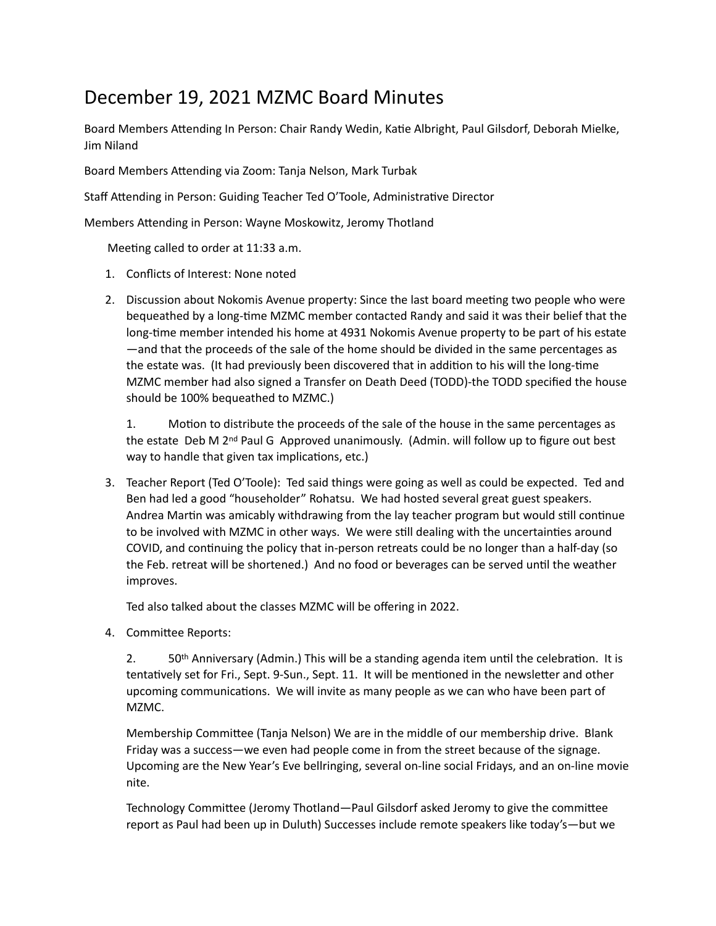## December 19, 2021 MZMC Board Minutes

Board Members Attending In Person: Chair Randy Wedin, Katie Albright, Paul Gilsdorf, Deborah Mielke, Jim Niland 

Board Members Attending via Zoom: Tanja Nelson, Mark Turbak

Staff Attending in Person: Guiding Teacher Ted O'Toole, Administrative Director

Members Attending in Person: Wayne Moskowitz, Jeromy Thotland

Meeting called to order at 11:33 a.m.

- 1. Conflicts of Interest: None noted
- 2. Discussion about Nokomis Avenue property: Since the last board meeting two people who were bequeathed by a long-time MZMC member contacted Randy and said it was their belief that the long-time member intended his home at 4931 Nokomis Avenue property to be part of his estate —and that the proceeds of the sale of the home should be divided in the same percentages as the estate was. (It had previously been discovered that in addition to his will the long-time MZMC member had also signed a Transfer on Death Deed (TODD)-the TODD specified the house should be 100% bequeathed to MZMC.)

1. Motion to distribute the proceeds of the sale of the house in the same percentages as the estate Deb M  $2<sup>nd</sup>$  Paul G Approved unanimously. (Admin. will follow up to figure out best way to handle that given tax implications, etc.)

3. Teacher Report (Ted O'Toole): Ted said things were going as well as could be expected. Ted and Ben had led a good "householder" Rohatsu. We had hosted several great guest speakers. Andrea Martin was amicably withdrawing from the lay teacher program but would still continue to be involved with MZMC in other ways. We were still dealing with the uncertainties around COVID, and continuing the policy that in-person retreats could be no longer than a half-day (so the Feb. retreat will be shortened.) And no food or beverages can be served until the weather improves. 

Ted also talked about the classes MZMC will be offering in 2022.

4. Committee Reports:

2.  $50<sup>th</sup>$  Anniversary (Admin.) This will be a standing agenda item until the celebration. It is tentatively set for Fri., Sept. 9-Sun., Sept. 11. It will be mentioned in the newsletter and other upcoming communications. We will invite as many people as we can who have been part of MZMC. 

Membership Committee (Tanja Nelson) We are in the middle of our membership drive. Blank Friday was a success—we even had people come in from the street because of the signage. Upcoming are the New Year's Eve bellringing, several on-line social Fridays, and an on-line movie nite. 

Technology Committee (Jeromy Thotland—Paul Gilsdorf asked Jeromy to give the committee report as Paul had been up in Duluth) Successes include remote speakers like today's—but we